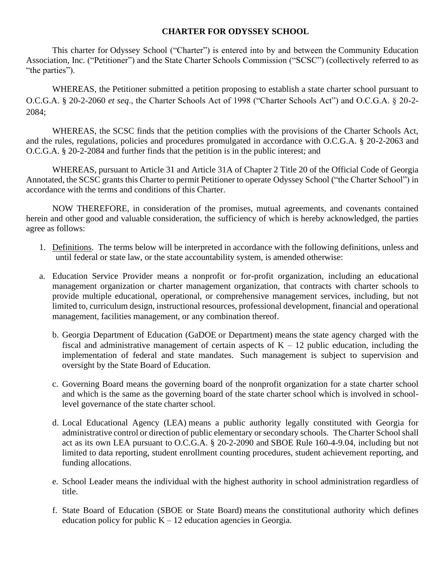# **CHARTER FOR ODYSSEY SCHOOL**

This charter for Odyssey School ("Charter") is entered into by and between the Community Education Association, Inc. ("Petitioner") and the State Charter Schools Commission ("SCSC") (collectively referred to as "the parties").

WHEREAS, the Petitioner submitted a petition proposing to establish a state charter school pursuant to O.C.G.A. § 20-2-2060 *et seq*., the Charter Schools Act of 1998 ("Charter Schools Act") and O.C.G.A. § 20-2- 2084;

WHEREAS, the SCSC finds that the petition complies with the provisions of the Charter Schools Act, and the rules, regulations, policies and procedures promulgated in accordance with O.C.G.A. § 20-2-2063 and O.C.G.A. § 20-2-2084 and further finds that the petition is in the public interest; and

WHEREAS, pursuant to Article 31 and Article 31A of Chapter 2 Title 20 of the Official Code of Georgia Annotated, the SCSC grants this Charter to permit Petitioner to operate Odyssey School ("the Charter School") in accordance with the terms and conditions of this Charter.

NOW THEREFORE, in consideration of the promises, mutual agreements, and covenants contained herein and other good and valuable consideration, the sufficiency of which is hereby acknowledged, the parties agree as follows:

- 1. Definitions. The terms below will be interpreted in accordance with the following definitions, unless and until federal or state law, or the state accountability system, is amended otherwise:
- a. Education Service Provider means a nonprofit or for-profit organization, including an educational management organization or charter management organization, that contracts with charter schools to provide multiple educational, operational, or comprehensive management services, including, but not limited to, curriculum design, instructional resources, professional development, financial and operational management, facilities management, or any combination thereof.
	- b. Georgia Department of Education (GaDOE or Department) means the state agency charged with the fiscal and administrative management of certain aspects of  $K - 12$  public education, including the implementation of federal and state mandates. Such management is subject to supervision and oversight by the State Board of Education.
	- c. Governing Board means the governing board of the nonprofit organization for a state charter school and which is the same as the governing board of the state charter school which is involved in schoollevel governance of the state charter school.
	- d. Local Educational Agency (LEA) means a public authority legally constituted with Georgia for administrative control or direction of public elementary or secondary schools. The Charter School shall act as its own LEA pursuant to O.C.G.A. § 20-2-2090 and SBOE Rule 160-4-9.04, including but not limited to data reporting, student enrollment counting procedures, student achievement reporting, and funding allocations.
	- e. School Leader means the individual with the highest authority in school administration regardless of title.
	- f. State Board of Education (SBOE or State Board) means the constitutional authority which defines education policy for public  $K - 12$  education agencies in Georgia.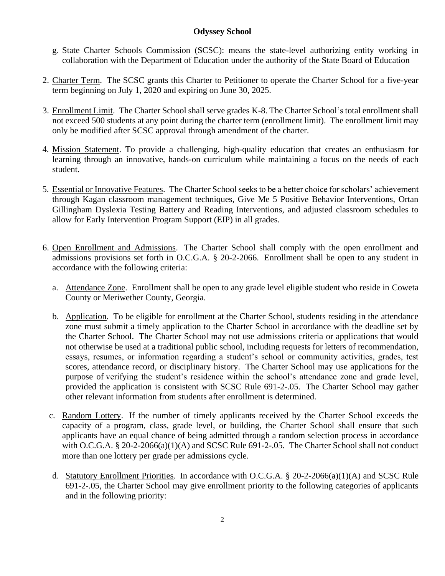- g. State Charter Schools Commission (SCSC): means the state-level authorizing entity working in collaboration with the Department of Education under the authority of the State Board of Education
- 2. Charter Term. The SCSC grants this Charter to Petitioner to operate the Charter School for a five-year term beginning on July 1, 2020 and expiring on June 30, 2025.
- 3. Enrollment Limit. The Charter School shall serve grades K-8. The Charter School's total enrollment shall not exceed 500 students at any point during the charter term (enrollment limit). The enrollment limit may only be modified after SCSC approval through amendment of the charter.
- 4. Mission Statement. To provide a challenging, high-quality education that creates an enthusiasm for learning through an innovative, hands-on curriculum while maintaining a focus on the needs of each student.
- 5. Essential or Innovative Features. The Charter School seeks to be a better choice for scholars' achievement through Kagan classroom management techniques, Give Me 5 Positive Behavior Interventions, Ortan Gillingham Dyslexia Testing Battery and Reading Interventions, and adjusted classroom schedules to allow for Early Intervention Program Support (EIP) in all grades.
- 6. Open Enrollment and Admissions. The Charter School shall comply with the open enrollment and admissions provisions set forth in O.C.G.A. § 20-2-2066. Enrollment shall be open to any student in accordance with the following criteria:
	- a. Attendance Zone. Enrollment shall be open to any grade level eligible student who reside in Coweta County or Meriwether County, Georgia.
	- b. Application. To be eligible for enrollment at the Charter School, students residing in the attendance zone must submit a timely application to the Charter School in accordance with the deadline set by the Charter School. The Charter School may not use admissions criteria or applications that would not otherwise be used at a traditional public school, including requests for letters of recommendation, essays, resumes, or information regarding a student's school or community activities, grades, test scores, attendance record, or disciplinary history. The Charter School may use applications for the purpose of verifying the student's residence within the school's attendance zone and grade level, provided the application is consistent with SCSC Rule 691-2-.05. The Charter School may gather other relevant information from students after enrollment is determined.
	- c. Random Lottery. If the number of timely applicants received by the Charter School exceeds the capacity of a program, class, grade level, or building, the Charter School shall ensure that such applicants have an equal chance of being admitted through a random selection process in accordance with O.C.G.A. § 20-2-2066(a)(1)(A) and SCSC Rule 691-2-05. The Charter School shall not conduct more than one lottery per grade per admissions cycle.
	- d. Statutory Enrollment Priorities. In accordance with O.C.G.A. § 20-2-2066(a)(1)(A) and SCSC Rule 691-2-.05, the Charter School may give enrollment priority to the following categories of applicants and in the following priority: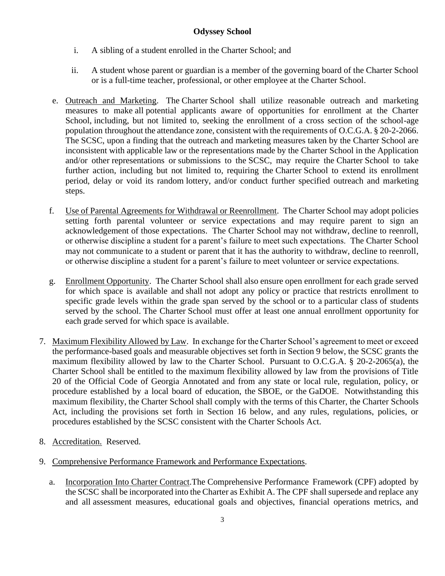- i. A sibling of a student enrolled in the Charter School; and
- ii. A student whose parent or guardian is a member of the governing board of the Charter School or is a full-time teacher, professional, or other employee at the Charter School.
- e. Outreach and Marketing. The Charter School shall utilize reasonable outreach and marketing measures to make all potential applicants aware of opportunities for enrollment at the Charter School, including, but not limited to, seeking the enrollment of a cross section of the school-age population throughout the attendance zone, consistent with the requirements of O.C.G.A. § 20-2-2066. The SCSC, upon a finding that the outreach and marketing measures taken by the Charter School are inconsistent with applicable law or the representations made by the Charter School in the Application and/or other representations or submissions to the SCSC, may require the Charter School to take further action, including but not limited to, requiring the Charter School to extend its enrollment period, delay or void its random lottery, and/or conduct further specified outreach and marketing steps.
- f. Use of Parental Agreements for Withdrawal or Reenrollment. The Charter School may adopt policies setting forth parental volunteer or service expectations and may require parent to sign an acknowledgement of those expectations. The Charter School may not withdraw, decline to reenroll, or otherwise discipline a student for a parent's failure to meet such expectations. The Charter School may not communicate to a student or parent that it has the authority to withdraw, decline to reenroll, or otherwise discipline a student for a parent's failure to meet volunteer or service expectations.
- g. Enrollment Opportunity. The Charter School shall also ensure open enrollment for each grade served for which space is available and shall not adopt any policy or practice that restricts enrollment to specific grade levels within the grade span served by the school or to a particular class of students served by the school. The Charter School must offer at least one annual enrollment opportunity for each grade served for which space is available.
- 7. Maximum Flexibility Allowed by Law. In exchange for the Charter School's agreement to meet or exceed the performance-based goals and measurable objectives set forth in Section 9 below, the SCSC grants the maximum flexibility allowed by law to the Charter School. Pursuant to O.C.G.A. § 20-2-2065(a), the Charter School shall be entitled to the maximum flexibility allowed by law from the provisions of Title 20 of the Official Code of Georgia Annotated and from any state or local rule, regulation, policy, or procedure established by a local board of education, the SBOE, or the GaDOE. Notwithstanding this maximum flexibility, the Charter School shall comply with the terms of this Charter, the Charter Schools Act, including the provisions set forth in Section 16 below, and any rules, regulations, policies, or procedures established by the SCSC consistent with the Charter Schools Act.
- 8. Accreditation. Reserved.
- 9. Comprehensive Performance Framework and Performance Expectations.
	- a. Incorporation Into Charter Contract.The Comprehensive Performance Framework (CPF) adopted by the SCSC shall be incorporated into the Charter as Exhibit A. The CPF shall supersede and replace any and all assessment measures, educational goals and objectives, financial operations metrics, and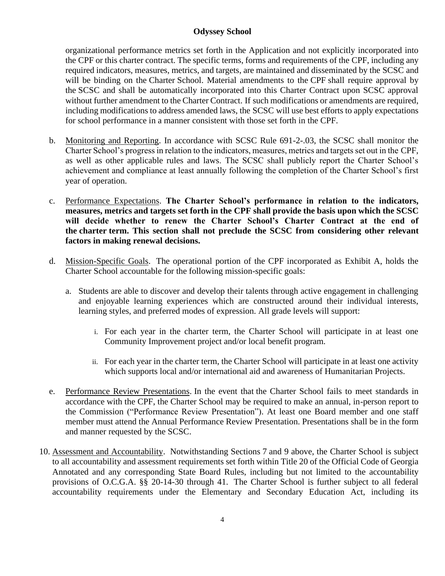organizational performance metrics set forth in the Application and not explicitly incorporated into the CPF or this charter contract. The specific terms, forms and requirements of the CPF, including any required indicators, measures, metrics, and targets, are maintained and disseminated by the SCSC and will be binding on the Charter School. Material amendments to the CPF shall require approval by the SCSC and shall be automatically incorporated into this Charter Contract upon SCSC approval without further amendment to the Charter Contract. If such modifications or amendments are required, including modifications to address amended laws, the SCSC will use best efforts to apply expectations for school performance in a manner consistent with those set forth in the CPF.

- b. Monitoring and Reporting. In accordance with SCSC Rule 691-2-.03, the SCSC shall monitor the Charter School's progress in relation to the indicators, measures, metrics and targets set out in the CPF, as well as other applicable rules and laws. The SCSC shall publicly report the Charter School's achievement and compliance at least annually following the completion of the Charter School's first year of operation.
- c. Performance Expectations. **The Charter School's performance in relation to the indicators, measures, metrics and targets set forth in the CPF shall provide the basis upon which the SCSC will decide whether to renew the Charter School's Charter Contract at the end of the charter term. This section shall not preclude the SCSC from considering other relevant factors in making renewal decisions.**
- d. Mission-Specific Goals. The operational portion of the CPF incorporated as Exhibit A, holds the Charter School accountable for the following mission-specific goals:
	- a. Students are able to discover and develop their talents through active engagement in challenging and enjoyable learning experiences which are constructed around their individual interests, learning styles, and preferred modes of expression. All grade levels will support:
		- i. For each year in the charter term, the Charter School will participate in at least one Community Improvement project and/or local benefit program.
		- ii. For each year in the charter term, the Charter School will participate in at least one activity which supports local and/or international aid and awareness of Humanitarian Projects.
- e. Performance Review Presentations. In the event that the Charter School fails to meet standards in accordance with the CPF, the Charter School may be required to make an annual, in-person report to the Commission ("Performance Review Presentation"). At least one Board member and one staff member must attend the Annual Performance Review Presentation. Presentations shall be in the form and manner requested by the SCSC.
- 10. Assessment and Accountability. Notwithstanding Sections 7 and 9 above, the Charter School is subject to all accountability and assessment requirements set forth within Title 20 of the Official Code of Georgia Annotated and any corresponding State Board Rules, including but not limited to the accountability provisions of O.C.G.A. §§ 20-14-30 through 41. The Charter School is further subject to all federal accountability requirements under the Elementary and Secondary Education Act, including its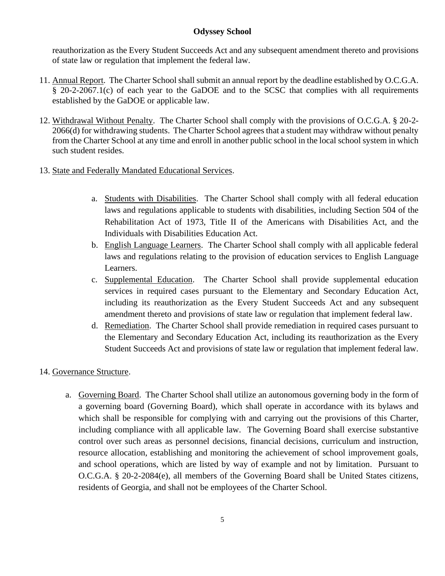reauthorization as the Every Student Succeeds Act and any subsequent amendment thereto and provisions of state law or regulation that implement the federal law.

- 11. Annual Report. The Charter School shall submit an annual report by the deadline established by O.C.G.A. § 20-2-2067.1(c) of each year to the GaDOE and to the SCSC that complies with all requirements established by the GaDOE or applicable law.
- 12. Withdrawal Without Penalty. The Charter School shall comply with the provisions of O.C.G.A. § 20-2- 2066(d) for withdrawing students. The Charter School agrees that a student may withdraw without penalty from the Charter School at any time and enroll in another public school in the local school system in which such student resides.
- 13. State and Federally Mandated Educational Services.
	- a. Students with Disabilities. The Charter School shall comply with all federal education laws and regulations applicable to students with disabilities, including Section 504 of the Rehabilitation Act of 1973, Title II of the Americans with Disabilities Act, and the Individuals with Disabilities Education Act.
	- b. English Language Learners. The Charter School shall comply with all applicable federal laws and regulations relating to the provision of education services to English Language Learners.
	- c. Supplemental Education. The Charter School shall provide supplemental education services in required cases pursuant to the Elementary and Secondary Education Act, including its reauthorization as the Every Student Succeeds Act and any subsequent amendment thereto and provisions of state law or regulation that implement federal law.
	- d. Remediation. The Charter School shall provide remediation in required cases pursuant to the Elementary and Secondary Education Act, including its reauthorization as the Every Student Succeeds Act and provisions of state law or regulation that implement federal law.

# 14. Governance Structure.

a. Governing Board. The Charter School shall utilize an autonomous governing body in the form of a governing board (Governing Board), which shall operate in accordance with its bylaws and which shall be responsible for complying with and carrying out the provisions of this Charter, including compliance with all applicable law. The Governing Board shall exercise substantive control over such areas as personnel decisions, financial decisions, curriculum and instruction, resource allocation, establishing and monitoring the achievement of school improvement goals, and school operations, which are listed by way of example and not by limitation. Pursuant to O.C.G.A. § 20-2-2084(e), all members of the Governing Board shall be United States citizens, residents of Georgia, and shall not be employees of the Charter School.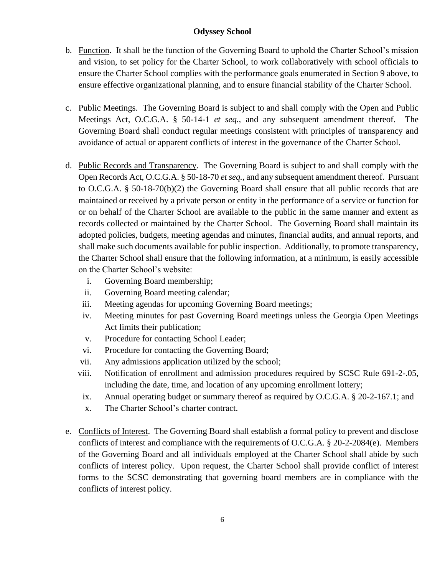- b. Function. It shall be the function of the Governing Board to uphold the Charter School's mission and vision, to set policy for the Charter School, to work collaboratively with school officials to ensure the Charter School complies with the performance goals enumerated in Section 9 above, to ensure effective organizational planning, and to ensure financial stability of the Charter School.
- c. Public Meetings. The Governing Board is subject to and shall comply with the Open and Public Meetings Act, O.C.G.A. § 50-14-1 *et seq.,* and any subsequent amendment thereof. The Governing Board shall conduct regular meetings consistent with principles of transparency and avoidance of actual or apparent conflicts of interest in the governance of the Charter School.
- d. Public Records and Transparency. The Governing Board is subject to and shall comply with the Open Records Act, O.C.G.A. § 50-18-70 *et seq.,* and any subsequent amendment thereof*.* Pursuant to O.C.G.A. § 50-18-70(b)(2) the Governing Board shall ensure that all public records that are maintained or received by a private person or entity in the performance of a service or function for or on behalf of the Charter School are available to the public in the same manner and extent as records collected or maintained by the Charter School. The Governing Board shall maintain its adopted policies, budgets, meeting agendas and minutes, financial audits, and annual reports, and shall make such documents available for public inspection. Additionally, to promote transparency, the Charter School shall ensure that the following information, at a minimum, is easily accessible on the Charter School's website:
	- i. Governing Board membership;
	- ii. Governing Board meeting calendar;
	- iii. Meeting agendas for upcoming Governing Board meetings;
	- iv. Meeting minutes for past Governing Board meetings unless the Georgia Open Meetings Act limits their publication;
	- v. Procedure for contacting School Leader;
	- vi. Procedure for contacting the Governing Board;
	- vii. Any admissions application utilized by the school;
	- viii. Notification of enrollment and admission procedures required by SCSC Rule 691-2-.05, including the date, time, and location of any upcoming enrollment lottery;
	- ix. Annual operating budget or summary thereof as required by O.C.G.A. § 20-2-167.1; and
	- x. The Charter School's charter contract.
- e. Conflicts of Interest. The Governing Board shall establish a formal policy to prevent and disclose conflicts of interest and compliance with the requirements of O.C.G.A. § 20-2-2084(e). Members of the Governing Board and all individuals employed at the Charter School shall abide by such conflicts of interest policy. Upon request, the Charter School shall provide conflict of interest forms to the SCSC demonstrating that governing board members are in compliance with the conflicts of interest policy.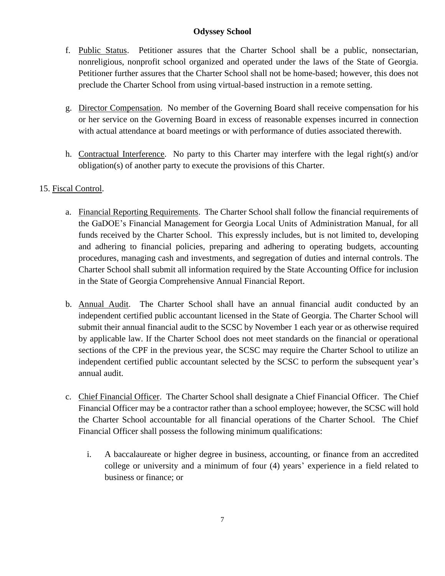- f. Public Status. Petitioner assures that the Charter School shall be a public, nonsectarian, nonreligious, nonprofit school organized and operated under the laws of the State of Georgia. Petitioner further assures that the Charter School shall not be home-based; however, this does not preclude the Charter School from using virtual-based instruction in a remote setting.
- g. Director Compensation. No member of the Governing Board shall receive compensation for his or her service on the Governing Board in excess of reasonable expenses incurred in connection with actual attendance at board meetings or with performance of duties associated therewith.
- h. Contractual Interference. No party to this Charter may interfere with the legal right(s) and/or obligation(s) of another party to execute the provisions of this Charter.

# 15. Fiscal Control.

- a. Financial Reporting Requirements. The Charter School shall follow the financial requirements of the GaDOE's Financial Management for Georgia Local Units of Administration Manual, for all funds received by the Charter School. This expressly includes, but is not limited to, developing and adhering to financial policies, preparing and adhering to operating budgets, accounting procedures, managing cash and investments, and segregation of duties and internal controls. The Charter School shall submit all information required by the State Accounting Office for inclusion in the State of Georgia Comprehensive Annual Financial Report.
- b. Annual Audit. The Charter School shall have an annual financial audit conducted by an independent certified public accountant licensed in the State of Georgia. The Charter School will submit their annual financial audit to the SCSC by November 1 each year or as otherwise required by applicable law. If the Charter School does not meet standards on the financial or operational sections of the CPF in the previous year, the SCSC may require the Charter School to utilize an independent certified public accountant selected by the SCSC to perform the subsequent year's annual audit.
- c. Chief Financial Officer. The Charter School shall designate a Chief Financial Officer. The Chief Financial Officer may be a contractor rather than a school employee; however, the SCSC will hold the Charter School accountable for all financial operations of the Charter School. The Chief Financial Officer shall possess the following minimum qualifications:
	- i. A baccalaureate or higher degree in business, accounting, or finance from an accredited college or university and a minimum of four (4) years' experience in a field related to business or finance; or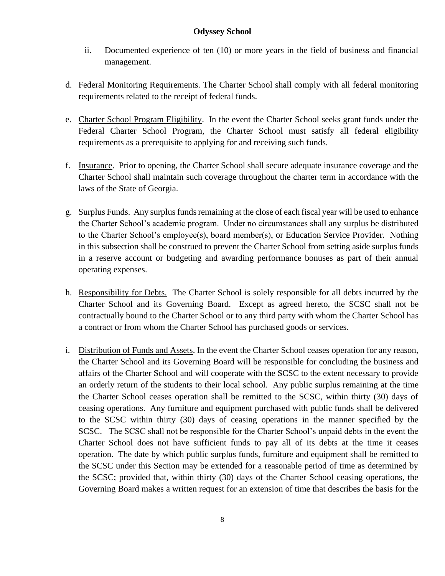- ii. Documented experience of ten (10) or more years in the field of business and financial management.
- d. Federal Monitoring Requirements. The Charter School shall comply with all federal monitoring requirements related to the receipt of federal funds.
- e. Charter School Program Eligibility. In the event the Charter School seeks grant funds under the Federal Charter School Program, the Charter School must satisfy all federal eligibility requirements as a prerequisite to applying for and receiving such funds.
- f. Insurance. Prior to opening, the Charter School shall secure adequate insurance coverage and the Charter School shall maintain such coverage throughout the charter term in accordance with the laws of the State of Georgia.
- g. Surplus Funds. Any surplus funds remaining at the close of each fiscal year will be used to enhance the Charter School's academic program. Under no circumstances shall any surplus be distributed to the Charter School's employee(s), board member(s), or Education Service Provider. Nothing in this subsection shall be construed to prevent the Charter School from setting aside surplus funds in a reserve account or budgeting and awarding performance bonuses as part of their annual operating expenses.
- h. Responsibility for Debts. The Charter School is solely responsible for all debts incurred by the Charter School and its Governing Board. Except as agreed hereto, the SCSC shall not be contractually bound to the Charter School or to any third party with whom the Charter School has a contract or from whom the Charter School has purchased goods or services.
- i. Distribution of Funds and Assets. In the event the Charter School ceases operation for any reason, the Charter School and its Governing Board will be responsible for concluding the business and affairs of the Charter School and will cooperate with the SCSC to the extent necessary to provide an orderly return of the students to their local school. Any public surplus remaining at the time the Charter School ceases operation shall be remitted to the SCSC, within thirty (30) days of ceasing operations. Any furniture and equipment purchased with public funds shall be delivered to the SCSC within thirty (30) days of ceasing operations in the manner specified by the SCSC. The SCSC shall not be responsible for the Charter School's unpaid debts in the event the Charter School does not have sufficient funds to pay all of its debts at the time it ceases operation. The date by which public surplus funds, furniture and equipment shall be remitted to the SCSC under this Section may be extended for a reasonable period of time as determined by the SCSC; provided that, within thirty (30) days of the Charter School ceasing operations, the Governing Board makes a written request for an extension of time that describes the basis for the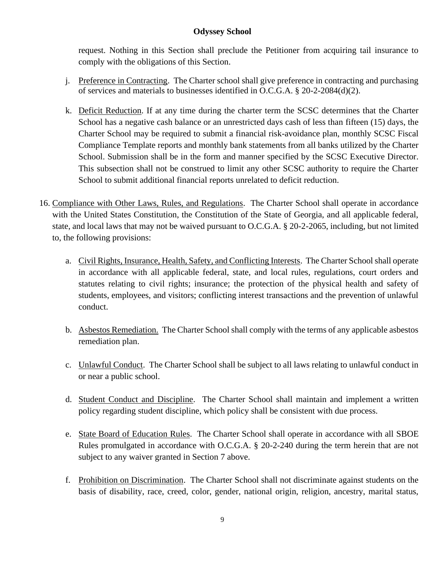request. Nothing in this Section shall preclude the Petitioner from acquiring tail insurance to comply with the obligations of this Section.

- j. Preference in Contracting. The Charter school shall give preference in contracting and purchasing of services and materials to businesses identified in O.C.G.A. § 20-2-2084(d)(2).
- k. Deficit Reduction. If at any time during the charter term the SCSC determines that the Charter School has a negative cash balance or an unrestricted days cash of less than fifteen (15) days, the Charter School may be required to submit a financial risk-avoidance plan, monthly SCSC Fiscal Compliance Template reports and monthly bank statements from all banks utilized by the Charter School. Submission shall be in the form and manner specified by the SCSC Executive Director. This subsection shall not be construed to limit any other SCSC authority to require the Charter School to submit additional financial reports unrelated to deficit reduction.
- 16. Compliance with Other Laws, Rules, and Regulations. The Charter School shall operate in accordance with the United States Constitution, the Constitution of the State of Georgia, and all applicable federal, state, and local laws that may not be waived pursuant to O.C.G.A. § 20-2-2065, including, but not limited to, the following provisions:
	- a. Civil Rights, Insurance, Health, Safety, and Conflicting Interests. The Charter School shall operate in accordance with all applicable federal, state, and local rules, regulations, court orders and statutes relating to civil rights; insurance; the protection of the physical health and safety of students, employees, and visitors; conflicting interest transactions and the prevention of unlawful conduct.
	- b. Asbestos Remediation. The Charter School shall comply with the terms of any applicable asbestos remediation plan.
	- c. Unlawful Conduct. The Charter School shall be subject to all laws relating to unlawful conduct in or near a public school.
	- d. Student Conduct and Discipline. The Charter School shall maintain and implement a written policy regarding student discipline, which policy shall be consistent with due process.
	- e. State Board of Education Rules. The Charter School shall operate in accordance with all SBOE Rules promulgated in accordance with O.C.G.A. § 20-2-240 during the term herein that are not subject to any waiver granted in Section 7 above.
	- f. Prohibition on Discrimination. The Charter School shall not discriminate against students on the basis of disability, race, creed, color, gender, national origin, religion, ancestry, marital status,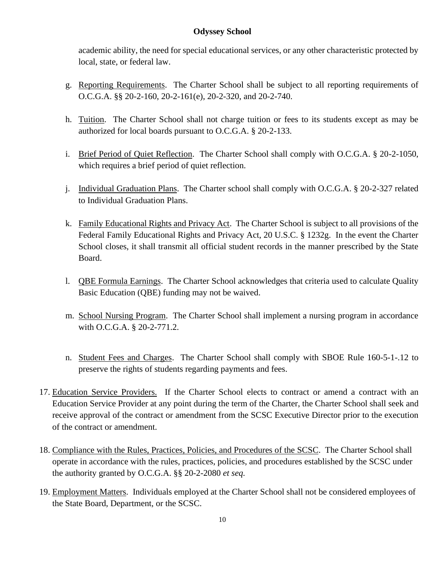academic ability, the need for special educational services, or any other characteristic protected by local, state, or federal law.

- g. Reporting Requirements. The Charter School shall be subject to all reporting requirements of O.C.G.A. §§ 20-2-160, 20-2-161(e), 20-2-320, and 20-2-740.
- h. Tuition. The Charter School shall not charge tuition or fees to its students except as may be authorized for local boards pursuant to O.C.G.A. § 20-2-133.
- i. Brief Period of Quiet Reflection. The Charter School shall comply with O.C.G.A. § 20-2-1050, which requires a brief period of quiet reflection.
- j. Individual Graduation Plans. The Charter school shall comply with O.C.G.A. § 20-2-327 related to Individual Graduation Plans.
- k. Family Educational Rights and Privacy Act. The Charter School is subject to all provisions of the Federal Family Educational Rights and Privacy Act, 20 U.S.C. § 1232g. In the event the Charter School closes, it shall transmit all official student records in the manner prescribed by the State Board.
- l. QBE Formula Earnings. The Charter School acknowledges that criteria used to calculate Quality Basic Education (QBE) funding may not be waived.
- m. School Nursing Program. The Charter School shall implement a nursing program in accordance with O.C.G.A. § 20-2-771.2.
- n. Student Fees and Charges. The Charter School shall comply with SBOE Rule 160-5-1-.12 to preserve the rights of students regarding payments and fees.
- 17. Education Service Providers. If the Charter School elects to contract or amend a contract with an Education Service Provider at any point during the term of the Charter, the Charter School shall seek and receive approval of the contract or amendment from the SCSC Executive Director prior to the execution of the contract or amendment.
- 18. Compliance with the Rules, Practices, Policies, and Procedures of the SCSC. The Charter School shall operate in accordance with the rules, practices, policies, and procedures established by the SCSC under the authority granted by O.C.G.A. §§ 20-2-2080 *et seq.*
- 19. Employment Matters. Individuals employed at the Charter School shall not be considered employees of the State Board, Department, or the SCSC.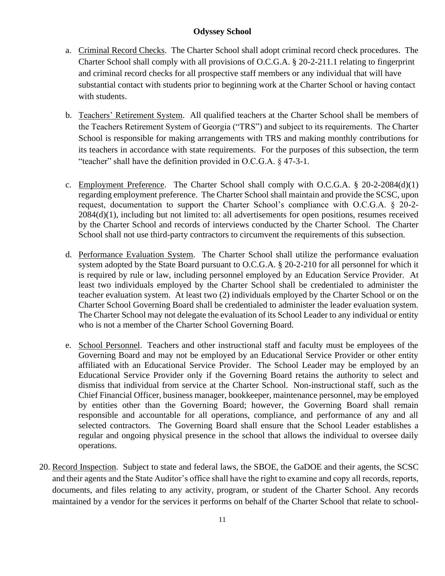- a. Criminal Record Checks. The Charter School shall adopt criminal record check procedures. The Charter School shall comply with all provisions of O.C.G.A. § 20-2-211.1 relating to fingerprint and criminal record checks for all prospective staff members or any individual that will have substantial contact with students prior to beginning work at the Charter School or having contact with students.
- b. Teachers' Retirement System. All qualified teachers at the Charter School shall be members of the Teachers Retirement System of Georgia ("TRS") and subject to its requirements. The Charter School is responsible for making arrangements with TRS and making monthly contributions for its teachers in accordance with state requirements. For the purposes of this subsection, the term "teacher" shall have the definition provided in O.C.G.A. § 47-3-1.
- c. Employment Preference. The Charter School shall comply with O.C.G.A. § 20-2-2084(d)(1) regarding employment preference. The Charter School shall maintain and provide the SCSC, upon request, documentation to support the Charter School's compliance with O.C.G.A. § 20-2- 2084(d)(1), including but not limited to: all advertisements for open positions, resumes received by the Charter School and records of interviews conducted by the Charter School. The Charter School shall not use third-party contractors to circumvent the requirements of this subsection.
- d. Performance Evaluation System. The Charter School shall utilize the performance evaluation system adopted by the State Board pursuant to O.C.G.A. § 20-2-210 for all personnel for which it is required by rule or law, including personnel employed by an Education Service Provider. At least two individuals employed by the Charter School shall be credentialed to administer the teacher evaluation system. At least two (2) individuals employed by the Charter School or on the Charter School Governing Board shall be credentialed to administer the leader evaluation system. The Charter School may not delegate the evaluation of its School Leader to any individual or entity who is not a member of the Charter School Governing Board.
- e. School Personnel. Teachers and other instructional staff and faculty must be employees of the Governing Board and may not be employed by an Educational Service Provider or other entity affiliated with an Educational Service Provider. The School Leader may be employed by an Educational Service Provider only if the Governing Board retains the authority to select and dismiss that individual from service at the Charter School. Non-instructional staff, such as the Chief Financial Officer, business manager, bookkeeper, maintenance personnel, may be employed by entities other than the Governing Board; however, the Governing Board shall remain responsible and accountable for all operations, compliance, and performance of any and all selected contractors. The Governing Board shall ensure that the School Leader establishes a regular and ongoing physical presence in the school that allows the individual to oversee daily operations.
- 20. Record Inspection. Subject to state and federal laws, the SBOE, the GaDOE and their agents, the SCSC and their agents and the State Auditor's office shall have the right to examine and copy all records, reports, documents, and files relating to any activity, program, or student of the Charter School. Any records maintained by a vendor for the services it performs on behalf of the Charter School that relate to school-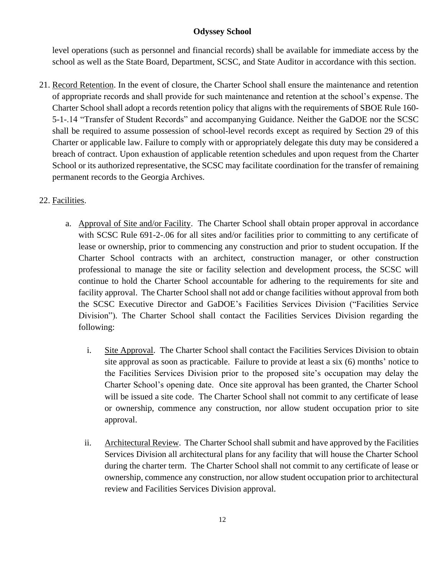level operations (such as personnel and financial records) shall be available for immediate access by the school as well as the State Board, Department, SCSC, and State Auditor in accordance with this section.

21. Record Retention. In the event of closure, the Charter School shall ensure the maintenance and retention of appropriate records and shall provide for such maintenance and retention at the school's expense. The Charter School shall adopt a records retention policy that aligns with the requirements of SBOE Rule 160- 5-1-.14 "Transfer of Student Records" and accompanying Guidance. Neither the GaDOE nor the SCSC shall be required to assume possession of school-level records except as required by Section 29 of this Charter or applicable law. Failure to comply with or appropriately delegate this duty may be considered a breach of contract. Upon exhaustion of applicable retention schedules and upon request from the Charter School or its authorized representative, the SCSC may facilitate coordination for the transfer of remaining permanent records to the Georgia Archives.

# 22. Facilities.

- a. Approval of Site and/or Facility. The Charter School shall obtain proper approval in accordance with SCSC Rule 691-2-.06 for all sites and/or facilities prior to committing to any certificate of lease or ownership, prior to commencing any construction and prior to student occupation. If the Charter School contracts with an architect, construction manager, or other construction professional to manage the site or facility selection and development process, the SCSC will continue to hold the Charter School accountable for adhering to the requirements for site and facility approval. The Charter School shall not add or change facilities without approval from both the SCSC Executive Director and GaDOE's Facilities Services Division ("Facilities Service Division"). The Charter School shall contact the Facilities Services Division regarding the following:
	- i. Site Approval. The Charter School shall contact the Facilities Services Division to obtain site approval as soon as practicable. Failure to provide at least a six (6) months' notice to the Facilities Services Division prior to the proposed site's occupation may delay the Charter School's opening date. Once site approval has been granted, the Charter School will be issued a site code. The Charter School shall not commit to any certificate of lease or ownership, commence any construction, nor allow student occupation prior to site approval.
	- ii. Architectural Review. The Charter School shall submit and have approved by the Facilities Services Division all architectural plans for any facility that will house the Charter School during the charter term. The Charter School shall not commit to any certificate of lease or ownership, commence any construction, nor allow student occupation prior to architectural review and Facilities Services Division approval.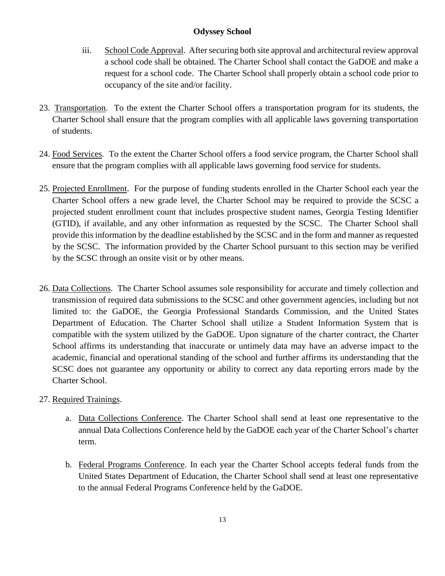- iii. School Code Approval. After securing both site approval and architectural review approval a school code shall be obtained. The Charter School shall contact the GaDOE and make a request for a school code. The Charter School shall properly obtain a school code prior to occupancy of the site and/or facility.
- 23. Transportation. To the extent the Charter School offers a transportation program for its students, the Charter School shall ensure that the program complies with all applicable laws governing transportation of students.
- 24. Food Services. To the extent the Charter School offers a food service program, the Charter School shall ensure that the program complies with all applicable laws governing food service for students.
- 25. Projected Enrollment. For the purpose of funding students enrolled in the Charter School each year the Charter School offers a new grade level, the Charter School may be required to provide the SCSC a projected student enrollment count that includes prospective student names, Georgia Testing Identifier (GTID), if available, and any other information as requested by the SCSC. The Charter School shall provide this information by the deadline established by the SCSC and in the form and manner as requested by the SCSC. The information provided by the Charter School pursuant to this section may be verified by the SCSC through an onsite visit or by other means.
- 26. Data Collections. The Charter School assumes sole responsibility for accurate and timely collection and transmission of required data submissions to the SCSC and other government agencies, including but not limited to: the GaDOE, the Georgia Professional Standards Commission, and the United States Department of Education. The Charter School shall utilize a Student Information System that is compatible with the system utilized by the GaDOE. Upon signature of the charter contract, the Charter School affirms its understanding that inaccurate or untimely data may have an adverse impact to the academic, financial and operational standing of the school and further affirms its understanding that the SCSC does not guarantee any opportunity or ability to correct any data reporting errors made by the Charter School.

# 27. Required Trainings.

- a. Data Collections Conference. The Charter School shall send at least one representative to the annual Data Collections Conference held by the GaDOE each year of the Charter School's charter term.
- b. Federal Programs Conference. In each year the Charter School accepts federal funds from the United States Department of Education, the Charter School shall send at least one representative to the annual Federal Programs Conference held by the GaDOE.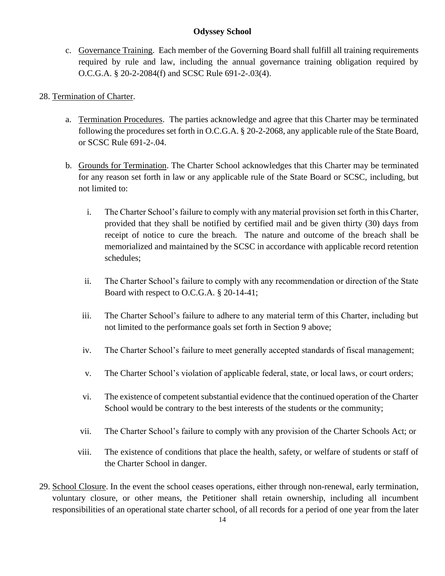c. Governance Training. Each member of the Governing Board shall fulfill all training requirements required by rule and law, including the annual governance training obligation required by O.C.G.A. § 20-2-2084(f) and SCSC Rule 691-2-.03(4).

# 28. Termination of Charter.

- a. Termination Procedures. The parties acknowledge and agree that this Charter may be terminated following the procedures set forth in O.C.G.A. § 20-2-2068, any applicable rule of the State Board, or SCSC Rule 691-2-.04.
- b. Grounds for Termination. The Charter School acknowledges that this Charter may be terminated for any reason set forth in law or any applicable rule of the State Board or SCSC, including, but not limited to:
	- i. The Charter School's failure to comply with any material provision set forth in this Charter, provided that they shall be notified by certified mail and be given thirty (30) days from receipt of notice to cure the breach. The nature and outcome of the breach shall be memorialized and maintained by the SCSC in accordance with applicable record retention schedules;
	- ii. The Charter School's failure to comply with any recommendation or direction of the State Board with respect to O.C.G.A. § 20-14-41;
	- iii. The Charter School's failure to adhere to any material term of this Charter, including but not limited to the performance goals set forth in Section 9 above;
	- iv. The Charter School's failure to meet generally accepted standards of fiscal management;
	- v. The Charter School's violation of applicable federal, state, or local laws, or court orders;
	- vi. The existence of competent substantial evidence that the continued operation of the Charter School would be contrary to the best interests of the students or the community;
	- vii. The Charter School's failure to comply with any provision of the Charter Schools Act; or
	- viii. The existence of conditions that place the health, safety, or welfare of students or staff of the Charter School in danger.
- 29. School Closure. In the event the school ceases operations, either through non-renewal, early termination, voluntary closure, or other means, the Petitioner shall retain ownership, including all incumbent responsibilities of an operational state charter school, of all records for a period of one year from the later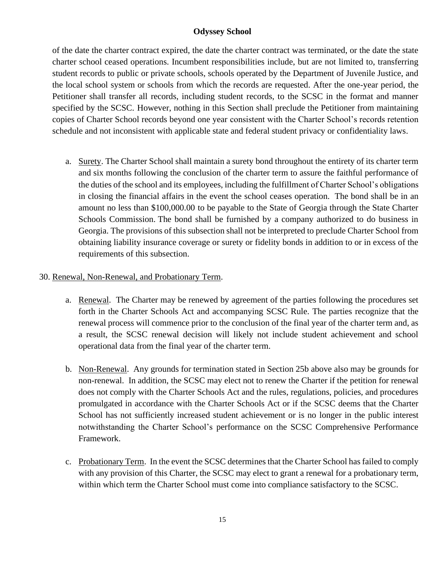of the date the charter contract expired, the date the charter contract was terminated, or the date the state charter school ceased operations. Incumbent responsibilities include, but are not limited to, transferring student records to public or private schools, schools operated by the Department of Juvenile Justice, and the local school system or schools from which the records are requested. After the one-year period, the Petitioner shall transfer all records, including student records, to the SCSC in the format and manner specified by the SCSC. However, nothing in this Section shall preclude the Petitioner from maintaining copies of Charter School records beyond one year consistent with the Charter School's records retention schedule and not inconsistent with applicable state and federal student privacy or confidentiality laws.

a. Surety. The Charter School shall maintain a surety bond throughout the entirety of its charter term and six months following the conclusion of the charter term to assure the faithful performance of the duties of the school and its employees, including the fulfillment of Charter School's obligations in closing the financial affairs in the event the school ceases operation. The bond shall be in an amount no less than \$100,000.00 to be payable to the State of Georgia through the State Charter Schools Commission. The bond shall be furnished by a company authorized to do business in Georgia. The provisions of this subsection shall not be interpreted to preclude Charter School from obtaining liability insurance coverage or surety or fidelity bonds in addition to or in excess of the requirements of this subsection.

### 30. Renewal, Non-Renewal, and Probationary Term.

- a. Renewal. The Charter may be renewed by agreement of the parties following the procedures set forth in the Charter Schools Act and accompanying SCSC Rule. The parties recognize that the renewal process will commence prior to the conclusion of the final year of the charter term and, as a result, the SCSC renewal decision will likely not include student achievement and school operational data from the final year of the charter term.
- b. Non-Renewal. Any grounds for termination stated in Section 25b above also may be grounds for non-renewal. In addition, the SCSC may elect not to renew the Charter if the petition for renewal does not comply with the Charter Schools Act and the rules, regulations, policies, and procedures promulgated in accordance with the Charter Schools Act or if the SCSC deems that the Charter School has not sufficiently increased student achievement or is no longer in the public interest notwithstanding the Charter School's performance on the SCSC Comprehensive Performance Framework.
- c. Probationary Term. In the event the SCSC determines that the Charter School has failed to comply with any provision of this Charter, the SCSC may elect to grant a renewal for a probationary term, within which term the Charter School must come into compliance satisfactory to the SCSC.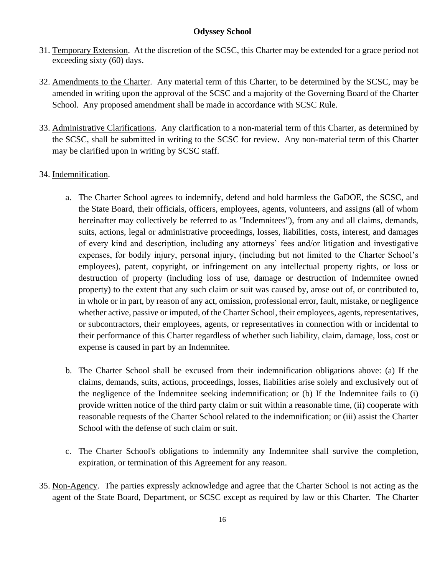- 31. Temporary Extension. At the discretion of the SCSC, this Charter may be extended for a grace period not exceeding sixty (60) days.
- 32. Amendments to the Charter. Any material term of this Charter, to be determined by the SCSC, may be amended in writing upon the approval of the SCSC and a majority of the Governing Board of the Charter School. Any proposed amendment shall be made in accordance with SCSC Rule.
- 33. Administrative Clarifications. Any clarification to a non-material term of this Charter, as determined by the SCSC, shall be submitted in writing to the SCSC for review. Any non-material term of this Charter may be clarified upon in writing by SCSC staff.

# 34. Indemnification.

- a. The Charter School agrees to indemnify, defend and hold harmless the GaDOE, the SCSC, and the State Board, their officials, officers, employees, agents, volunteers, and assigns (all of whom hereinafter may collectively be referred to as "Indemnitees"), from any and all claims, demands, suits, actions, legal or administrative proceedings, losses, liabilities, costs, interest, and damages of every kind and description, including any attorneys' fees and/or litigation and investigative expenses, for bodily injury, personal injury, (including but not limited to the Charter School's employees), patent, copyright, or infringement on any intellectual property rights, or loss or destruction of property (including loss of use, damage or destruction of Indemnitee owned property) to the extent that any such claim or suit was caused by, arose out of, or contributed to, in whole or in part, by reason of any act, omission, professional error, fault, mistake, or negligence whether active, passive or imputed, of the Charter School, their employees, agents, representatives, or subcontractors, their employees, agents, or representatives in connection with or incidental to their performance of this Charter regardless of whether such liability, claim, damage, loss, cost or expense is caused in part by an Indemnitee.
- b. The Charter School shall be excused from their indemnification obligations above: (a) If the claims, demands, suits, actions, proceedings, losses, liabilities arise solely and exclusively out of the negligence of the Indemnitee seeking indemnification; or (b) If the Indemnitee fails to (i) provide written notice of the third party claim or suit within a reasonable time, (ii) cooperate with reasonable requests of the Charter School related to the indemnification; or (iii) assist the Charter School with the defense of such claim or suit.
- c. The Charter School's obligations to indemnify any Indemnitee shall survive the completion, expiration, or termination of this Agreement for any reason.
- 35. Non-Agency. The parties expressly acknowledge and agree that the Charter School is not acting as the agent of the State Board, Department, or SCSC except as required by law or this Charter. The Charter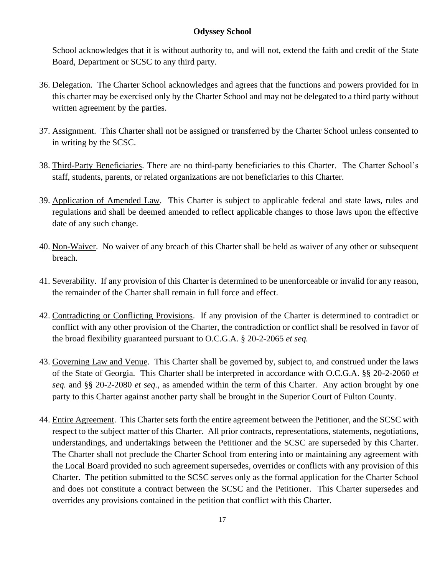School acknowledges that it is without authority to, and will not, extend the faith and credit of the State Board, Department or SCSC to any third party.

- 36. Delegation. The Charter School acknowledges and agrees that the functions and powers provided for in this charter may be exercised only by the Charter School and may not be delegated to a third party without written agreement by the parties.
- 37. Assignment. This Charter shall not be assigned or transferred by the Charter School unless consented to in writing by the SCSC.
- 38. Third-Party Beneficiaries. There are no third-party beneficiaries to this Charter. The Charter School's staff, students, parents, or related organizations are not beneficiaries to this Charter.
- 39. Application of Amended Law. This Charter is subject to applicable federal and state laws, rules and regulations and shall be deemed amended to reflect applicable changes to those laws upon the effective date of any such change.
- 40. Non-Waiver. No waiver of any breach of this Charter shall be held as waiver of any other or subsequent breach.
- 41. Severability. If any provision of this Charter is determined to be unenforceable or invalid for any reason, the remainder of the Charter shall remain in full force and effect.
- 42. Contradicting or Conflicting Provisions. If any provision of the Charter is determined to contradict or conflict with any other provision of the Charter, the contradiction or conflict shall be resolved in favor of the broad flexibility guaranteed pursuant to O.C.G.A. § 20-2-2065 *et seq.*
- 43. Governing Law and Venue. This Charter shall be governed by, subject to, and construed under the laws of the State of Georgia. This Charter shall be interpreted in accordance with O.C.G.A. §§ 20-2-2060 *et seq.* and §§ 20-2-2080 *et seq.*, as amended within the term of this Charter. Any action brought by one party to this Charter against another party shall be brought in the Superior Court of Fulton County.
- 44. Entire Agreement. This Charter sets forth the entire agreement between the Petitioner, and the SCSC with respect to the subject matter of this Charter. All prior contracts, representations, statements, negotiations, understandings, and undertakings between the Petitioner and the SCSC are superseded by this Charter. The Charter shall not preclude the Charter School from entering into or maintaining any agreement with the Local Board provided no such agreement supersedes, overrides or conflicts with any provision of this Charter. The petition submitted to the SCSC serves only as the formal application for the Charter School and does not constitute a contract between the SCSC and the Petitioner. This Charter supersedes and overrides any provisions contained in the petition that conflict with this Charter.